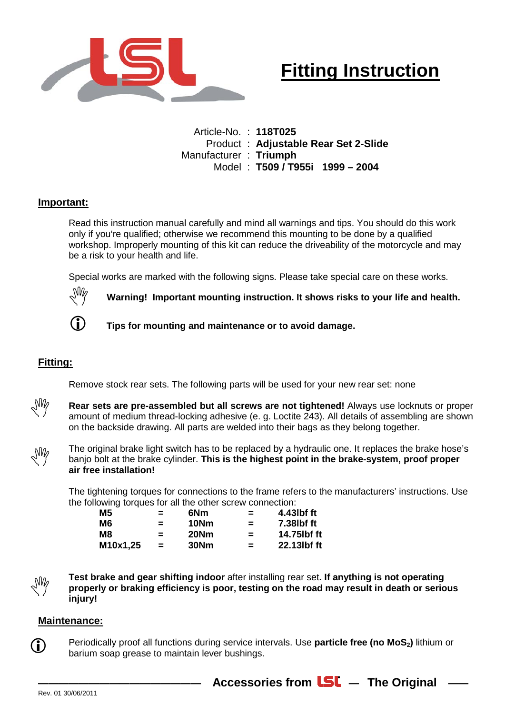

## **Fitting Instruction**

Article-No. : **118T025** Product : **Adjustable Rear Set 2-Slide** Manufacturer : **Triumph** Model : **T509 / T955i 1999 – 2004**

## **Important:**

Read this instruction manual carefully and mind all warnings and tips. You should do this work only if you're qualified; otherwise we recommend this mounting to be done by a qualified workshop. Improperly mounting of this kit can reduce the driveability of the motorcycle and may be a risk to your health and life.

Special works are marked with the following signs. Please take special care on these works.



**Warning! Important mounting instruction. It shows risks to your life and health.**



**Tips for mounting and maintenance or to avoid damage.**

## **Fitting:**

Remove stock rear sets. The following parts will be used for your new rear set: none



**Rear sets are pre-assembled but all screws are not tightened!** Always use locknuts or proper amount of medium thread-locking adhesive (e. g. Loctite 243). All details of assembling are shown on the backside drawing. All parts are welded into their bags as they belong together.



The original brake light switch has to be replaced by a hydraulic one. It replaces the brake hose's banjo bolt at the brake cylinder. **This is the highest point in the brake-system, proof proper air free installation!**

The tightening torques for connections to the frame refers to the manufacturers' instructions. Use the following torques for all the other screw connection:

| $=$      | 6Nm  | =        | 4.43lbf ft  |
|----------|------|----------|-------------|
| $=$      | 10Nm | $\equiv$ | 7.38lbf ft  |
| $=$      | 20Nm | $\equiv$ | 14.75lbf ft |
| $\equiv$ | 30Nm | Ξ.       | 22.13lbf ft |
|          |      |          |             |

 $\mathcal{A}_{\text{NN}}$ 

 $(i)$ 

**Test brake and gear shifting indoor** after installing rear set**. If anything is not operating properly or braking efficiency is poor, testing on the road may result in death or serious injury!** 

## **Maintenance:**

Periodically proof all functions during service intervals. Use **particle free (no MoS**<sub>2</sub>) lithium or barium soap grease to maintain lever bushings.

Accessories from **LSL** - The Original -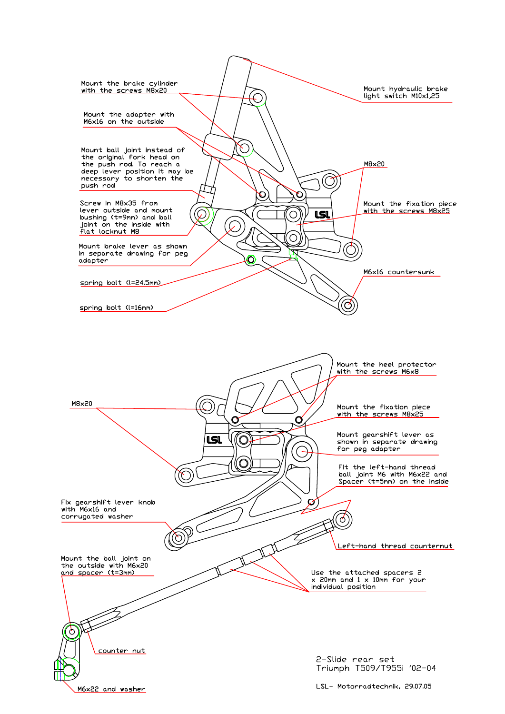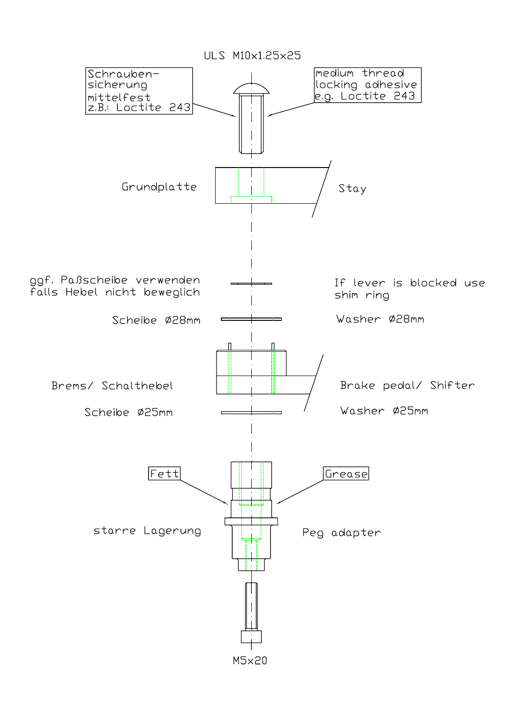